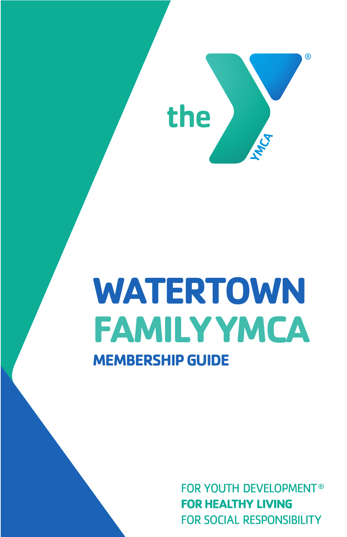

# **WATERTOWN FAMILY YMCA MEMBERSHIP GUIDE**

**FOR YOUTH DEVELOPMENT® FOR HEALTHY LIVING FOR SOCIAL RESPONSIBILITY**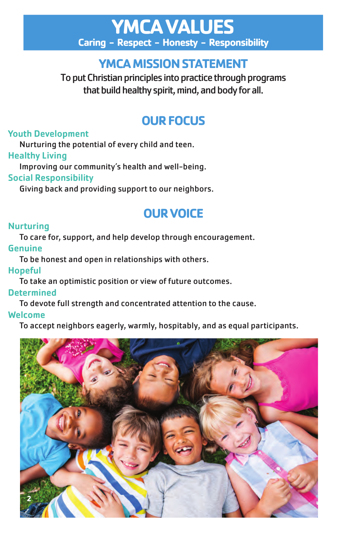## **YMCA VALUES Caring - Respect - Honesty - Responsibility**

## **YMCA MISSION STATEMENT**

To put Christian principles into practice through programs that build healthy spirit, mind, and body for all.

## **OUR FOCUS**

## Youth Development

Nurturing the potential of every child and teen.

### Healthy Living

Improving our community's health and well-being.

## Social Responsibility

Giving back and providing support to our neighbors.

## **OUR VOICE**

## **Nurturing**

To care for, support, and help develop through encouragement.

## Genuine

To be honest and open in relationships with others.

## Hopeful

To take an optimistic position or view of future outcomes.

## **Determined**

To devote full strength and concentrated attention to the cause.

## Welcome

To accept neighbors eagerly, warmly, hospitably, and as equal participants.

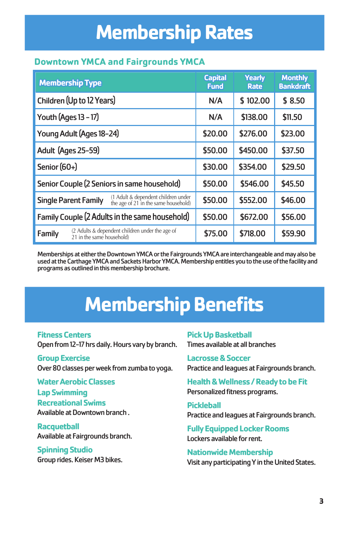# **Membership Rates**

### **Downtown YMCA and Fairgrounds YMCA**

| <b>Membership Type</b>                                                                                       | <b>Capital</b><br><b>Fund</b> | <b>Yearly</b><br>Rate | <b>Monthly</b><br><b>Bankdraft</b> |
|--------------------------------------------------------------------------------------------------------------|-------------------------------|-----------------------|------------------------------------|
| Children (Up to 12 Years)                                                                                    | N/A                           | \$102.00              | \$8.50                             |
| Youth (Ages 13 - 17)                                                                                         | N/A                           | \$138.00              | \$11.50                            |
| Young Adult (Ages 18-24)                                                                                     | \$20.00                       | \$276.00              | \$23.00                            |
| Adult (Ages 25-59)                                                                                           | \$50.00                       | \$450.00              | \$37.50                            |
| Senior (60+)                                                                                                 | \$30.00                       | \$354.00              | \$29.50                            |
| Senior Couple (2 Seniors in same household)                                                                  | \$50.00                       | \$546.00              | \$45.50                            |
| $(1$ Adult & dependent children under<br>the age of 21 in the same household)<br><b>Single Parent Family</b> | \$50.00                       | \$552.00              | \$46.00                            |
| Family Couple (2 Adults in the same household)                                                               | \$50.00                       | \$672.00              | \$56.00                            |
| (2 Adults & dependent children under the age of<br>Family<br>21 in the same household)                       | \$75.00                       | \$718.00              | \$59.90                            |

Memberships at either the Downtown YMCA or the Fairgrounds YMCA are interchangeable and may also be used at the Carthage YMCA and Sackets Harbor YMCA. Membership entitles you to the use of the facility and programs as outlined in this membership brochure.

# **Membership Benefits**

**Fitness Centers** Open from 12-17 hrs daily. Hours vary by branch.

**Group Exercise** Over 80 classes per week from zumba to yoga.

**Water Aerobic Classes Lap Swimming Recreational Swims** Available at Downtown branch .

**Racquetball** Available at Fairgrounds branch.

**Spinning Studio** Group rides. Keiser M3 bikes. **Pick Up Basketball** Times available at all branches

**Lacrosse & Soccer** Practice and leagues at Fairgrounds branch.

**Health & Wellness / Ready to be Fit** Personalized fitness programs.

**Pickleball** Practice and leagues at Fairgrounds branch.

**Fully Equipped Locker Rooms** Lockers available for rent.

**Nationwide Membership** Visit any participating Y in the United States.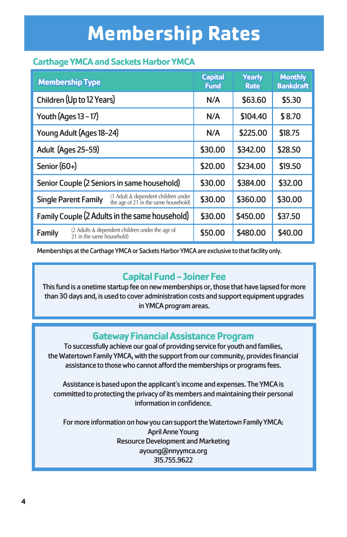# **Membership Rates**

## **Carthage YMCA and Sackets Harbor YMCA**

| <b>Membership Type</b>                                                                                       | <b>Capital</b><br><b>Fund</b> | <b>Yearly</b><br><b>Rate</b> | <b>Monthly</b><br><b>Bankdraft</b> |
|--------------------------------------------------------------------------------------------------------------|-------------------------------|------------------------------|------------------------------------|
| Children (Up to 12 Years)                                                                                    | N/A                           | \$63.60                      | \$5.30                             |
| Youth (Ages 13 - 17)                                                                                         | N/A                           | \$104.40                     | \$8.70                             |
| Young Adult (Ages 18-24)                                                                                     | N/A                           | \$225.00                     | \$18.75                            |
| Adult (Ages 25-59)                                                                                           | \$30.00                       | \$342.00                     | \$28.50                            |
| Senior (60+)                                                                                                 | \$20.00                       | \$234.00                     | \$19.50                            |
| Senior Couple (2 Seniors in same household)                                                                  | \$30.00                       | \$384.00                     | \$32.00                            |
| $(1$ Adult & dependent children under<br>the age of 21 in the same household)<br><b>Single Parent Family</b> | \$30.00                       | \$360.00                     | \$30.00                            |
| Family Couple (2 Adults in the same household)                                                               | \$30.00                       | \$450.00                     | \$37.50                            |
| (2 Adults & dependent children under the age of<br>Family<br>21 in the same household)                       | \$50.00                       | \$480.00                     | \$40.00                            |

Memberships at the Carthage YMCA or Sackets Harbor YMCA are exclusive to that facility only.

## **Capital Fund - Joiner Fee**

This fund is a onetime startup fee on new memberships or, those that have lapsed for more than 30 days and, is used to cover administration costs and support equipment upgrades in YMCA program areas.

## **Gateway Financial Assistance Program**

To successfully achieve our goal of providing service for youth and families, the Watertown Family YMCA, with the support from our community, provides financial assistance to those who cannot afford the memberships or programs fees.

Assistance is based upon the applicant's income and expenses. The YMCA is committed to protecting the privacy of its members and maintaining their personal information in confidence.

For more information on how you can support the Watertown Family YMCA: April Anne Young Resource Development and Marketing ayoung@nnyymca.org 315.755.9622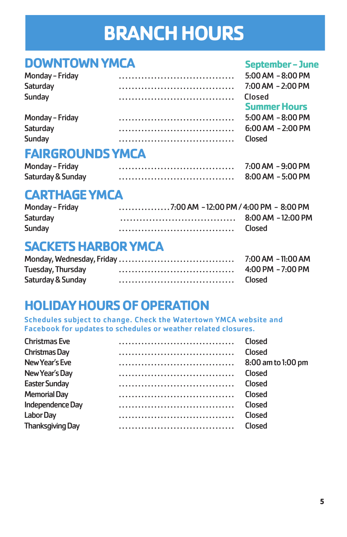# **BRANCH HOURS**

## **DOWNTOWN YMCA** September - June

| $5:00$ AM $-8:00$ PM          |
|-------------------------------|
| $7:00$ AM $-2:00$ PM          |
| Closed<br><b>Summer Hours</b> |
| $5:00$ AM $-8:00$ PM          |
| $6:00$ AM $-2:00$ PM          |
| Closed                        |
|                               |

## **FAIRGROUNDS YMCA**

| Monday - Friday   | 7:00 AM - 9:00 PM |
|-------------------|-------------------|
| Saturday & Sunday | 8:00 AM - 5:00 PM |

## $CARTHAGE YMCA$

| Monday - Friday |                    |
|-----------------|--------------------|
| Saturday        | 8:00 AM - 12:00 PM |
| Sunday          | Closed             |

## **SACKETS HARBOR YMCA**

|                   | 7:00 AM - 11:00 AM   |
|-------------------|----------------------|
| Tuesday, Thursday | $4:00$ PM $-7:00$ PM |
| Saturday & Sunday | Closed               |

## **HOLIDAY HOURS OF OPERATION**

Schedules subject to change. Check the Watertown YMCA website and Facebook for updates to schedules or weather related closures.

| <b>Christmas Eve</b>    | Closed             |
|-------------------------|--------------------|
| Christmas Day           | Closed             |
| New Year's Eve          | 8:00 am to 1:00 pm |
| New Year's Day          | Closed             |
| <b>Easter Sunday</b>    | Closed             |
| <b>Memorial Day</b>     | <b>Closed</b>      |
| Independence Day        | <b>Closed</b>      |
| <b>Labor Day</b>        | Closed             |
| <b>Thanksgiving Day</b> | Closed             |
|                         |                    |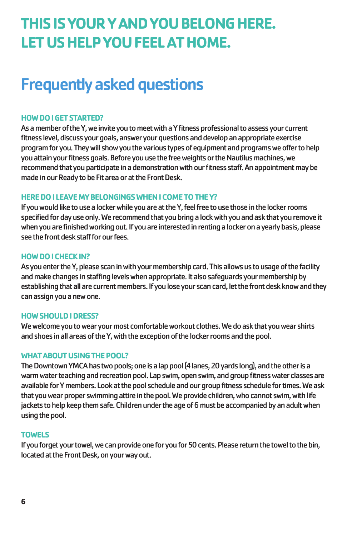## **THIS IS YOUR Y AND YOU BELONG HERE. LET US HELP YOU FEEL AT HOME.**

## Frequently asked questions

#### **HOW DO I GET STARTED?**

As a member of the Y, we invite you to meet with a Y fitness professional to assess your current fitness level, discuss your goals, answer your questions and develop an appropriate exercise program for you. They will show you the various types of equipment and programs we offer to help you attain your fitness goals. Before you use the free weights or the Nautilus machines, we recommend that you participate in a demonstration with our fitness staff. An appointment may be made in our Ready to be Fit area or at the Front Desk.

#### **HERE DO I LEAVE MY BELONGINGS WHEN I COME TO THE Y?**

If you would like to use a locker while you are at the Y, feel free to use those in the locker rooms specified for day use only. We recommend that you bring a lock with you and ask that you remove it when you are finished working out. If you are interested in renting a locker on a yearly basis, please see the front desk staff for our fees.

#### **HOW DO I CHECK IN?**

As you enter the Y, please scan in with your membership card. This allows us to usage of the facility and make changes in staffing levels when appropriate. It also safeguards your membership by establishing that all are current members. If you lose your scan card, let the front desk know and they can assign you a new one.

#### **HOW SHOULD I DRESS?**

We welcome you to wear your most comfortable workout clothes. We do ask that you wear shirts and shoes in all areas of the Y, with the exception of the locker rooms and the pool.

#### **WHAT ABOUT USING THE POOL?**

The Downtown YMCA has two pools; one is a lap pool (4 lanes, 20 yards long), and the other is a warm water teaching and recreation pool. Lap swim, open swim, and group fitness water classes are available for Y members. Look at the pool schedule and our group fitness schedule for times. We ask that you wear proper swimming attire in the pool. We provide children, who cannot swim, with life jackets to help keep them safe. Children under the age of 6 must be accompanied by an adult when using the pool.

#### **TOWELS**

If you forget your towel, we can provide one for you for 50 cents. Please return the towel to the bin, located at the Front Desk, on your way out.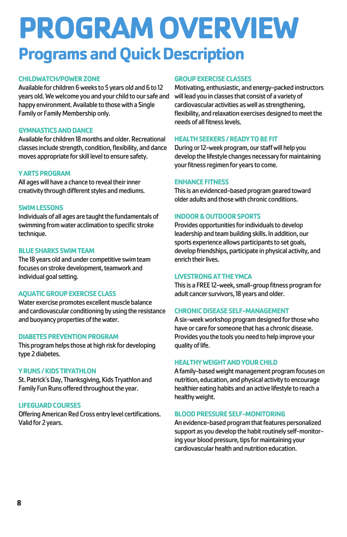# **PROGRAM OVERVIEW Programs and Quick Description**

#### **CHILDWATCH/POWER ZONE**

Available for children 6 weeks to 5 years old and 6 to 12 years old. We welcome you and your child to our safe and happy environment. Available to those with a Single Family or Family Membership only.

#### **GYMNASTICS AND DANCE**

Available for children 18 months and older. Recreational classes include strength, condition, flexibility, and dance moves appropriate for skill level to ensure safety.

#### **Y ARTS PROGRAM**

All ages will have a chance to reveal their inner creativity through different styles and mediums.

#### **SWIM LESSONS**

Individuals of all ages are taught the fundamentals of swimming from water acclimation to specific stroke technique.

#### **BLUE SHARKS SWIM TEAM**

The 18 years old and under competitive swim team focuses on stroke development, teamwork and individual goal setting.

#### **AQUATIC GROUP EXERCISE CLASS**

Water exercise promotes excellent muscle balance and cardiovascular conditioning by using the resistance and buoyancy properties of the water.

#### **DIABETES PREVENTION PROGRAM**

This program helps those at high risk for developing type 2 diabetes.

#### **Y RUNS / KIDS TRYATHLON**

St. Patrick's Day, Thanksgiving, Kids Tryathlon and Family Fun Runs offered throughout the year.

#### **LIFEGUARD COURSES**

Offering American Red Cross entry level certifications. Valid for 2 years.

#### **GROUP EXERCISE CLASSES**

Motivating, enthusiastic, and energy-packed instructors will lead you in classes that consist of a variety of cardiovascular activities as well as strengthening, flexibility, and relaxation exercises designed to meet the needs of all fitness levels.

#### **HEALTH SEEKERS / READY TO BE FIT**

During or 12-week program, our staff will help you develop the lifestyle changes necessary for maintaining your fitness regimen for years to come.

#### **ENHANCE FITNESS**

This is an evidenced-based program geared toward older adults and those with chronic conditions.

#### **INDOOR & OUTDOOR SPORTS**

Provides opportunities for individuals to develop leadership and team building skills. In addition, our sports experience allows participants to set goals, develop friendships, participate in physical activity, and enrich their lives.

#### **LIVESTRONG AT THE YMCA**

This is a FREE 12-week, small-group fitness program for adult cancer survivors, 18 years and older.

#### **CHRONIC DISEASE SELF-MANAGEMENT**

A six-week workshop program designed for those who have or care for someone that has a chronic disease. Provides you the tools you need to help improve your quality of life.

#### **HEALTHY WEIGHT AND YOUR CHILD**

A family-based weight management program focuses on nutrition, education, and physical activity to encourage healthier eating habits and an active lifestyle to reach a healthy weight.

#### **BLOOD PRESSURE SELF-MONITORING**

An evidence-based program that features personalized support as you develop the habit routinely self-monitoring your blood pressure, tips for maintaining your cardiovascular health and nutrition education.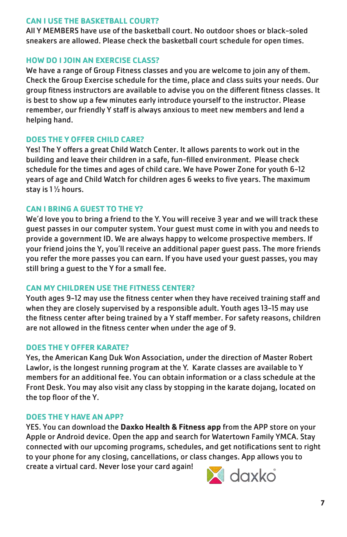#### **CAN I USE THE BASKETBALL COURT?**

All Y MEMBERS have use of the basketball court. No outdoor shoes or black-soled sneakers are allowed. Please check the basketball court schedule for open times.

### **HOW DO I JOIN AN EXERCISE CLASS?**

We have a range of Group Fitness classes and you are welcome to join any of them. Check the Group Exercise schedule for the time, place and class suits your needs. Our group fitness instructors are available to advise you on the different fitness classes. It is best to show up a few minutes early introduce yourself to the instructor. Please remember, our friendly Y staff is always anxious to meet new members and lend a helping hand.

### **DOES THE Y OFFER CHILD CARE?**

Yes! The Y offers a great Child Watch Center. It allows parents to work out in the building and leave their children in a safe, fun-filled environment. Please check schedule for the times and ages of child care. We have Power Zone for youth 6-12 years of age and Child Watch for children ages 6 weeks to five years. The maximum stay is 1 ½ hours.

### **CAN I BRING A GUEST TO THE Y?**

We'd love you to bring a friend to the Y. You will receive 3 year and we will track these guest passes in our computer system. Your guest must come in with you and needs to provide a government ID. We are always happy to welcome prospective members. If your friend joins the Y, you'll receive an additional paper guest pass. The more friends you refer the more passes you can earn. If you have used your guest passes, you may still bring a guest to the Y for a small fee.

### **CAN MY CHILDREN USE THE FITNESS CENTER?**

Youth ages 9-12 may use the fitness center when they have received training staff and when they are closely supervised by a responsible adult. Youth ages 13-15 may use the fitness center after being trained by a Y staff member. For safety reasons, children are not allowed in the fitness center when under the age of 9.

### **DOES THE Y OFFER KARATE?**

Yes, the American Kang Duk Won Association, under the direction of Master Robert Lawlor, is the longest running program at the Y. Karate classes are available to Y members for an additional fee. You can obtain information or a class schedule at the Front Desk. You may also visit any class by stopping in the karate dojang, located on the top floor of the Y.

### **DOES THE Y HAVE AN APP?**

YES. You can download the **Daxko Health & Fitness app** from the APP store on your Apple or Android device. Open the app and search for Watertown Family YMCA. Stay connected with our upcoming programs, schedules, and get notifications sent to right to your phone for any closing, cancellations, or class changes. App allows you to create a virtual card. Never lose your card again!

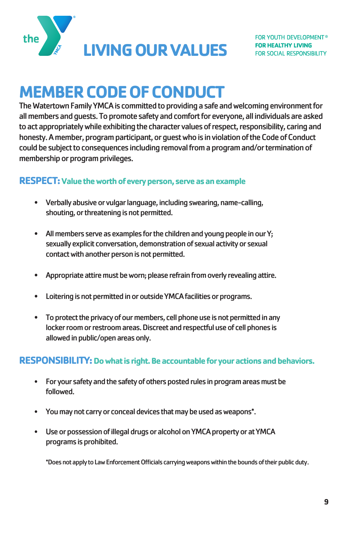

## **MEMBER CODE OF CONDUCT**

The Watertown Family YMCA is committed to providing a safe and welcoming environment for all members and guests. To promote safety and comfort for everyone, all individuals are asked to act appropriately while exhibiting the character values of respect, responsibility, caring and honesty. A member, program participant, or guest who is in violation of the Code of Conduct could be subject to consequences including removal from a program and/or termination of membership or program privileges.

### **RESPECT: Value the worth of every person, serve as an example**

- Verbally abusive or vulgar language, including swearing, name-calling, shouting, or threatening is not permitted.
- All members serve as examples for the children and young people in our Y; sexually explicit conversation, demonstration of sexual activity or sexual contact with another person is not permitted.
- Appropriate attire must be worn; please refrain from overly revealing attire.
- Loitering is not permitted in or outside YMCA facilities or programs.
- To protect the privacy of our members, cell phone use is not permitted in any locker room or restroom areas. Discreet and respectful use of cell phones is allowed in public/open areas only.

### **RESPONSIBILITY: Do what is right. Be accountable for your actions and behaviors.**

- For your safety and the safety of others posted rules in program areas must be followed.
- You may not carry or conceal devices that may be used as weapons\*.
- Use or possession of illegal drugs or alcohol on YMCA property or at YMCA programs is prohibited.

\*Does not apply to Law Enforcement Officials carrying weapons within the bounds of their public duty.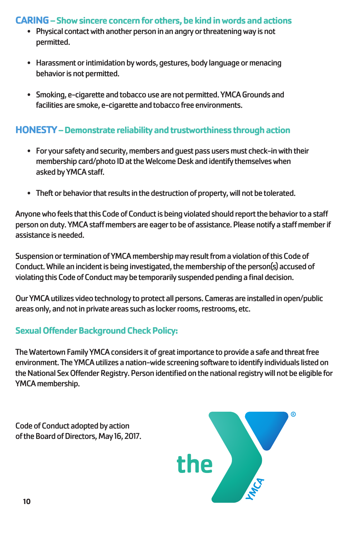## **CARING – Show sincere concern for others, be kind in words and actions**

- Physical contact with another person in an angry or threatening way is not permitted.
- Harassment or intimidation by words, gestures, body language or menacing behavior is not permitted.
- Smoking, e-cigarette and tobacco use are not permitted. YMCA Grounds and facilities are smoke, e-cigarette and tobacco free environments.

## **HONESTY – Demonstrate reliability and trustworthiness through action**

- For your safety and security, members and guest pass users must check-in with their membership card/photo ID at the Welcome Desk and identify themselves when asked by YMCA staff.
- Theft or behavior that results in the destruction of property, will not be tolerated.

Anyone who feels that this Code of Conduct is being violated should report the behavior to a sta person on duty. YMCA staff members are eager to be of assistance. Please notify a staff member if assistance is needed.

Suspension or termination of YMCA membership may result from a violation of this Code of Conduct. While an incident is being investigated, the membership of the person(s) accused of violating this Code of Conduct may be temporarily suspended pending a final decision.

Our YMCA utilizes video technology to protect all persons. Cameras are installed in open/public areas only, and not in private areas such as locker rooms, restrooms, etc.

## **Sexual Offender Background Check Policy:**

The Watertown Family YMCA considers it of great importance to provide a safe and threat free environment. The YMCA utilizes a nation-wide screening software to identify individuals listed on the National Sex Offender Registry. Person identified on the national registry will not be eligible for YMCA membership.

Code of Conduct adopted by action of the Board of Directors, May 16, 2017.

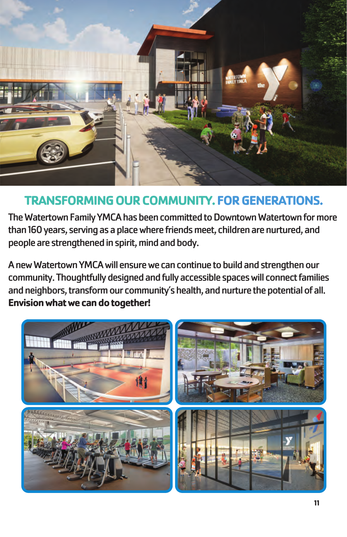

## **TRANSFORMING OUR COMMUNITY.FOR GENERATIONS.**

The Watertown Family YMCA has been committed to Downtown Watertown for more than 160 years, serving as a place where friends meet, children are nurtured, and people are strengthened in spirit, mind and body.

A new Watertown YMCA will ensure we can continue to build and strengthen our community. Thoughtfully designed and fully accessible spaces will connect families and neighbors, transform our community's health, and nurture the potential of all. **Envision what we can do together!**